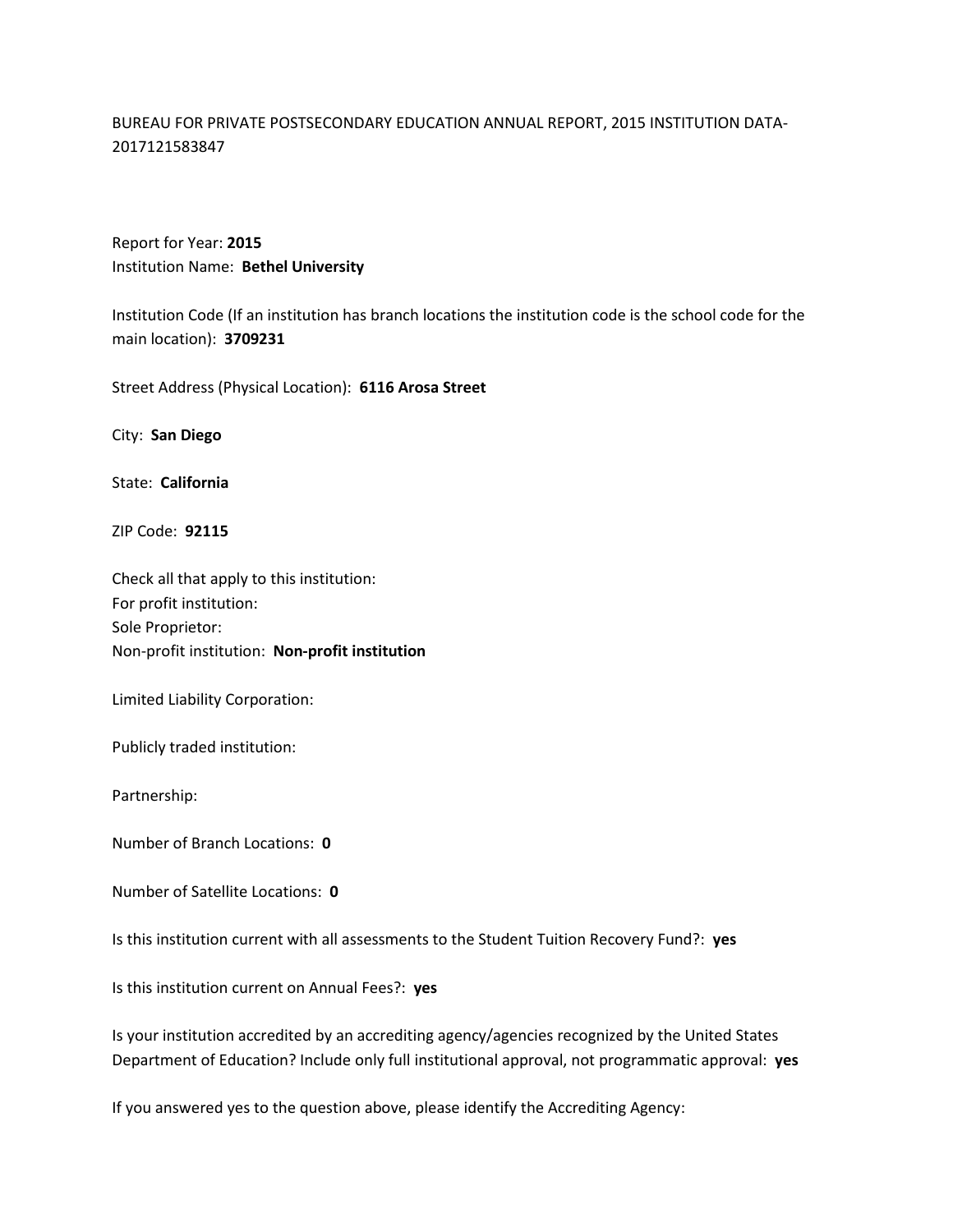## BUREAU FOR PRIVATE POSTSECONDARY EDUCATION ANNUAL REPORT, 2015 INSTITUTION DATA-2017121583847

Report for Year: **2015** Institution Name: **Bethel University**

Institution Code (If an institution has branch locations the institution code is the school code for the main location): **3709231**

Street Address (Physical Location): **6116 Arosa Street**

City: **San Diego**

State: **California**

ZIP Code: **92115**

Check all that apply to this institution: For profit institution: Sole Proprietor: Non-profit institution: **Non-profit institution**

Limited Liability Corporation:

Publicly traded institution:

Partnership:

Number of Branch Locations: **0**

Number of Satellite Locations: **0**

Is this institution current with all assessments to the Student Tuition Recovery Fund?: **yes**

Is this institution current on Annual Fees?: **yes**

Is your institution accredited by an accrediting agency/agencies recognized by the United States Department of Education? Include only full institutional approval, not programmatic approval: **yes**

If you answered yes to the question above, please identify the Accrediting Agency: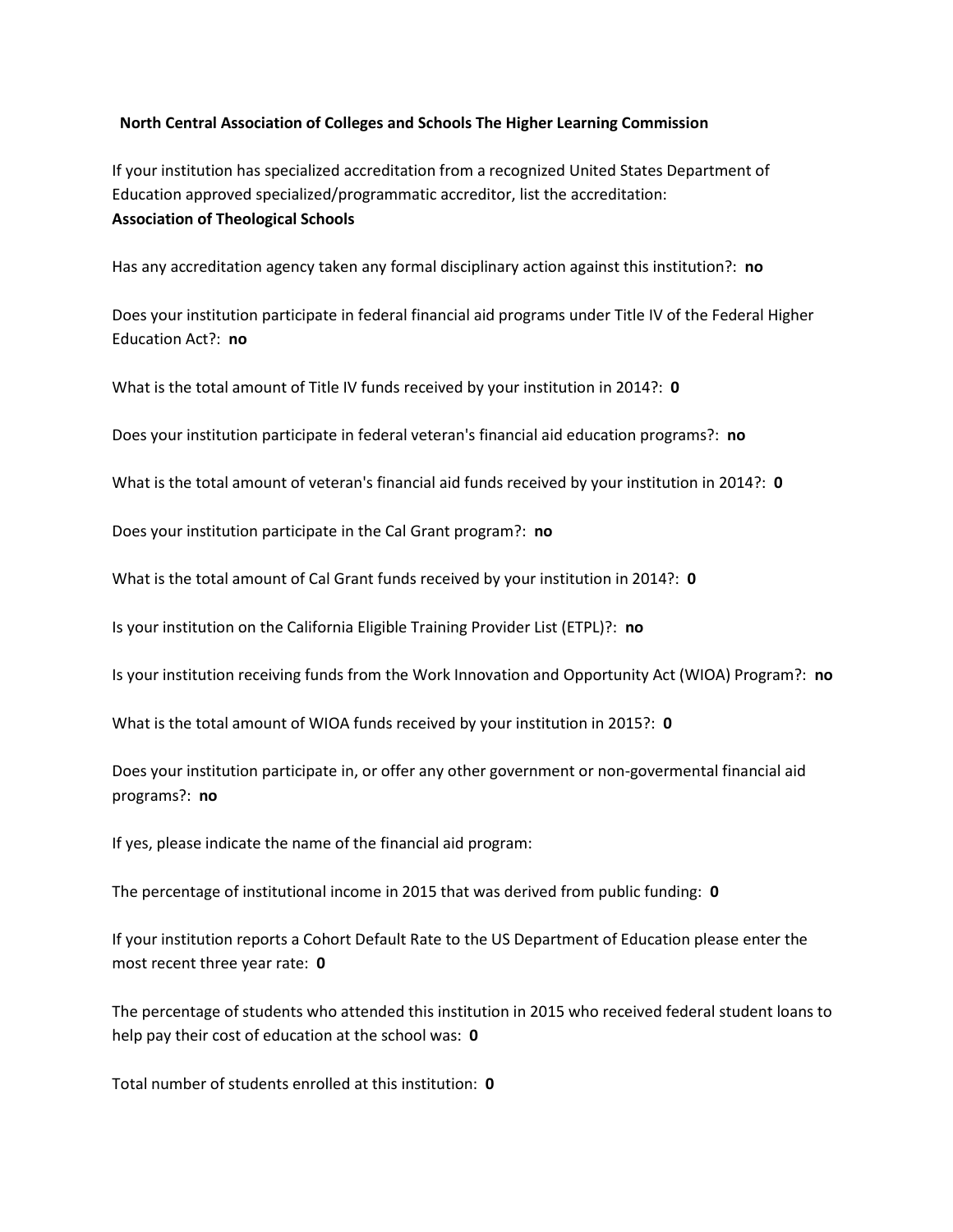## **North Central Association of Colleges and Schools The Higher Learning Commission**

If your institution has specialized accreditation from a recognized United States Department of Education approved specialized/programmatic accreditor, list the accreditation: **Association of Theological Schools**

Has any accreditation agency taken any formal disciplinary action against this institution?: **no**

Does your institution participate in federal financial aid programs under Title IV of the Federal Higher Education Act?: **no**

What is the total amount of Title IV funds received by your institution in 2014?: **0**

Does your institution participate in federal veteran's financial aid education programs?: **no**

What is the total amount of veteran's financial aid funds received by your institution in 2014?: **0**

Does your institution participate in the Cal Grant program?: **no**

What is the total amount of Cal Grant funds received by your institution in 2014?: **0**

Is your institution on the California Eligible Training Provider List (ETPL)?: **no**

Is your institution receiving funds from the Work Innovation and Opportunity Act (WIOA) Program?: **no**

What is the total amount of WIOA funds received by your institution in 2015?: **0**

Does your institution participate in, or offer any other government or non-govermental financial aid programs?: **no**

If yes, please indicate the name of the financial aid program:

The percentage of institutional income in 2015 that was derived from public funding: **0**

If your institution reports a Cohort Default Rate to the US Department of Education please enter the most recent three year rate: **0**

The percentage of students who attended this institution in 2015 who received federal student loans to help pay their cost of education at the school was: **0**

Total number of students enrolled at this institution: **0**